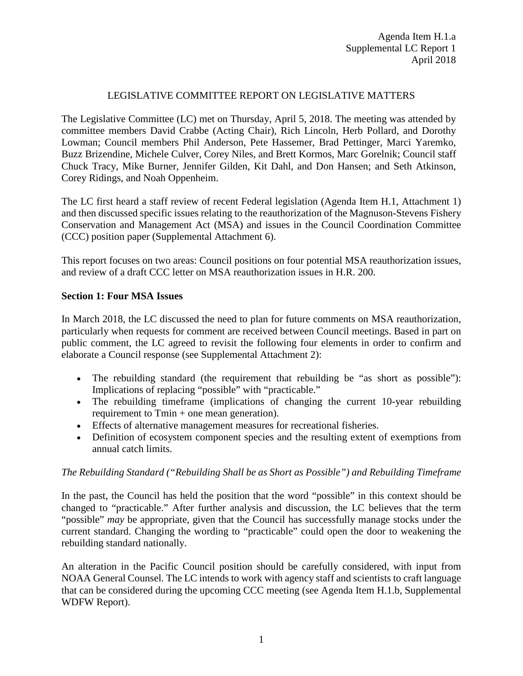## LEGISLATIVE COMMITTEE REPORT ON LEGISLATIVE MATTERS

The Legislative Committee (LC) met on Thursday, April 5, 2018. The meeting was attended by committee members David Crabbe (Acting Chair), Rich Lincoln, Herb Pollard, and Dorothy Lowman; Council members Phil Anderson, Pete Hassemer, Brad Pettinger, Marci Yaremko, Buzz Brizendine, Michele Culver, Corey Niles, and Brett Kormos, Marc Gorelnik; Council staff Chuck Tracy, Mike Burner, Jennifer Gilden, Kit Dahl, and Don Hansen; and Seth Atkinson, Corey Ridings, and Noah Oppenheim.

The LC first heard a staff review of recent Federal legislation (Agenda Item H.1, Attachment 1) and then discussed specific issues relating to the reauthorization of the Magnuson-Stevens Fishery Conservation and Management Act (MSA) and issues in the Council Coordination Committee (CCC) position paper (Supplemental Attachment 6).

This report focuses on two areas: Council positions on four potential MSA reauthorization issues, and review of a draft CCC letter on MSA reauthorization issues in H.R. 200.

### **Section 1: Four MSA Issues**

In March 2018, the LC discussed the need to plan for future comments on MSA reauthorization, particularly when requests for comment are received between Council meetings. Based in part on public comment, the LC agreed to revisit the following four elements in order to confirm and elaborate a Council response (see Supplemental Attachment 2):

- The rebuilding standard (the requirement that rebuilding be "as short as possible"): Implications of replacing "possible" with "practicable."
- The rebuilding timeframe (implications of changing the current 10-year rebuilding requirement to Tmin + one mean generation).
- Effects of alternative management measures for recreational fisheries.
- Definition of ecosystem component species and the resulting extent of exemptions from annual catch limits.

# *The Rebuilding Standard ("Rebuilding Shall be as Short as Possible") and Rebuilding Timeframe*

In the past, the Council has held the position that the word "possible" in this context should be changed to "practicable." After further analysis and discussion, the LC believes that the term "possible" *may* be appropriate, given that the Council has successfully manage stocks under the current standard. Changing the wording to "practicable" could open the door to weakening the rebuilding standard nationally.

An alteration in the Pacific Council position should be carefully considered, with input from NOAA General Counsel. The LC intends to work with agency staff and scientists to craft language that can be considered during the upcoming CCC meeting (see Agenda Item H.1.b, Supplemental WDFW Report).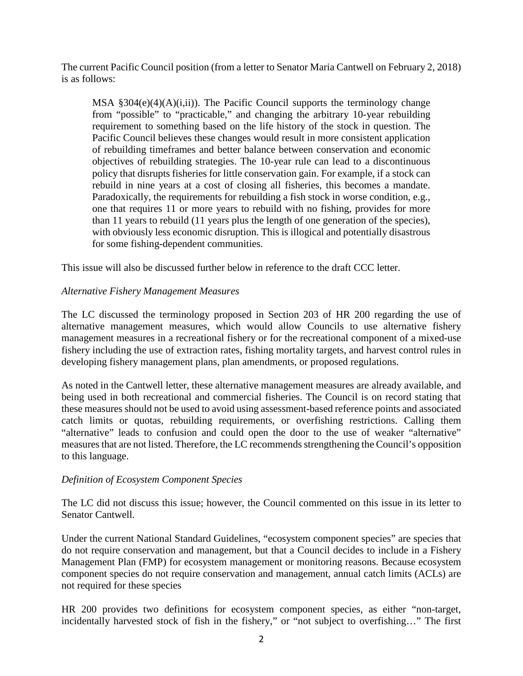The current Pacific Council position (from a letter to Senator Maria Cantwell on February 2, 2018) is as follows:

MSA  $\S 304(e)(4)(A)(i,ii)$ . The Pacific Council supports the terminology change from "possible" to "practicable," and changing the arbitrary 10-year rebuilding requirement to something based on the life history of the stock in question. The Pacific Council believes these changes would result in more consistent application of rebuilding timeframes and better balance between conservation and economic objectives of rebuilding strategies. The 10-year rule can lead to a discontinuous policy that disrupts fisheries for little conservation gain. For example, if a stock can rebuild in nine years at a cost of closing all fisheries, this becomes a mandate. Paradoxically, the requirements for rebuilding a fish stock in worse condition, e.g., one that requires 11 or more years to rebuild with no fishing, provides for more than 11 years to rebuild (11 years plus the length of one generation of the species), with obviously less economic disruption. This is illogical and potentially disastrous for some fishing-dependent communities.

This issue will also be discussed further below in reference to the draft CCC letter.

# *Alternative Fishery Management Measures*

The LC discussed the terminology proposed in Section 203 of HR 200 regarding the use of alternative management measures, which would allow Councils to use alternative fishery management measures in a recreational fishery or for the recreational component of a mixed-use fishery including the use of extraction rates, fishing mortality targets, and harvest control rules in developing fishery management plans, plan amendments, or proposed regulations.

As noted in the Cantwell letter, these alternative management measures are already available, and being used in both recreational and commercial fisheries. The Council is on record stating that these measures should not be used to avoid using assessment-based reference points and associated catch limits or quotas, rebuilding requirements, or overfishing restrictions. Calling them "alternative" leads to confusion and could open the door to the use of weaker "alternative" measures that are not listed. Therefore, the LC recommends strengthening the Council's opposition to this language.

### *Definition of Ecosystem Component Species*

The LC did not discuss this issue; however, the Council commented on this issue in its letter to Senator Cantwell.

Under the current National Standard Guidelines, "ecosystem component species" are species that do not require conservation and management, but that a Council decides to include in a Fishery Management Plan (FMP) for ecosystem management or monitoring reasons. Because ecosystem component species do not require conservation and management, annual catch limits (ACLs) are not required for these species

HR 200 provides two definitions for ecosystem component species, as either "non-target, incidentally harvested stock of fish in the fishery," or "not subject to overfishing…" The first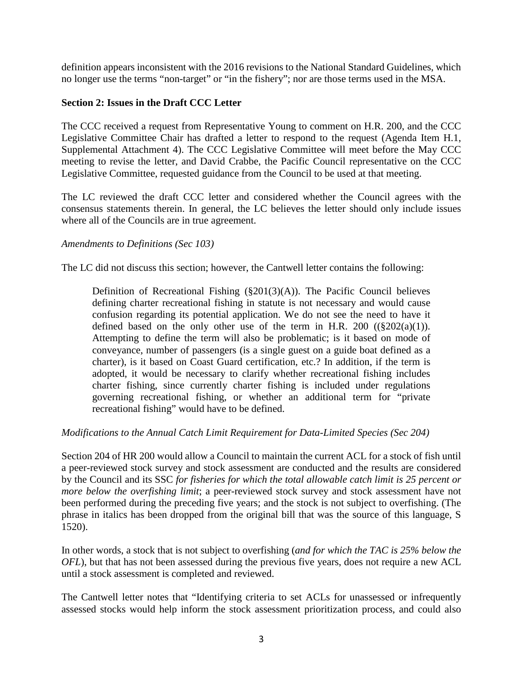definition appears inconsistent with the 2016 revisions to the National Standard Guidelines, which no longer use the terms "non-target" or "in the fishery"; nor are those terms used in the MSA.

### **Section 2: Issues in the Draft CCC Letter**

The CCC received a request from Representative Young to comment on H.R. 200, and the CCC Legislative Committee Chair has drafted a letter to respond to the request (Agenda Item H.1, Supplemental Attachment 4). The CCC Legislative Committee will meet before the May CCC meeting to revise the letter, and David Crabbe, the Pacific Council representative on the CCC Legislative Committee, requested guidance from the Council to be used at that meeting.

The LC reviewed the draft CCC letter and considered whether the Council agrees with the consensus statements therein. In general, the LC believes the letter should only include issues where all of the Councils are in true agreement.

### *Amendments to Definitions (Sec 103)*

The LC did not discuss this section; however, the Cantwell letter contains the following:

Definition of Recreational Fishing (§201(3)(A)). The Pacific Council believes defining charter recreational fishing in statute is not necessary and would cause confusion regarding its potential application. We do not see the need to have it defined based on the only other use of the term in H.R. 200  $((\frac{8}{202(a)(1)}).$ Attempting to define the term will also be problematic; is it based on mode of conveyance, number of passengers (is a single guest on a guide boat defined as a charter), is it based on Coast Guard certification, etc.? In addition, if the term is adopted, it would be necessary to clarify whether recreational fishing includes charter fishing, since currently charter fishing is included under regulations governing recreational fishing, or whether an additional term for "private recreational fishing" would have to be defined.

### *Modifications to the Annual Catch Limit Requirement for Data-Limited Species (Sec 204)*

Section 204 of HR 200 would allow a Council to maintain the current ACL for a stock of fish until a peer-reviewed stock survey and stock assessment are conducted and the results are considered by the Council and its SSC *for fisheries for which the total allowable catch limit is 25 percent or more below the overfishing limit*; a peer-reviewed stock survey and stock assessment have not been performed during the preceding five years; and the stock is not subject to overfishing. (The phrase in italics has been dropped from the original bill that was the source of this language, S 1520).

In other words, a stock that is not subject to overfishing (*and for which the TAC is 25% below the OFL*), but that has not been assessed during the previous five years, does not require a new ACL until a stock assessment is completed and reviewed.

The Cantwell letter notes that "Identifying criteria to set ACLs for unassessed or infrequently assessed stocks would help inform the stock assessment prioritization process, and could also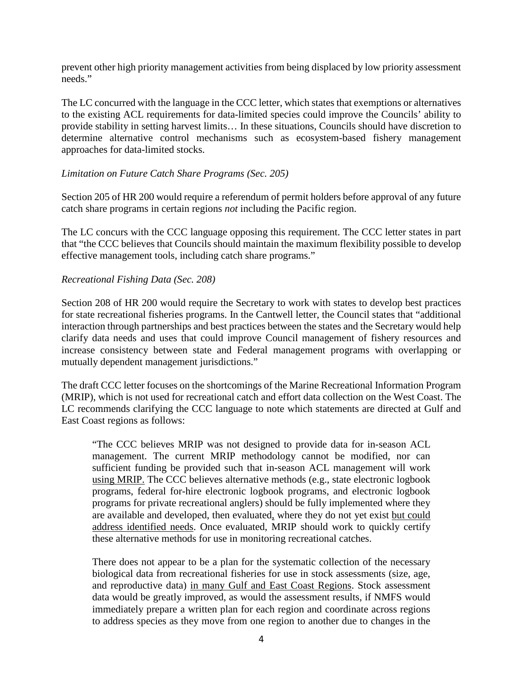prevent other high priority management activities from being displaced by low priority assessment needs."

The LC concurred with the language in the CCC letter, which states that exemptions or alternatives to the existing ACL requirements for data-limited species could improve the Councils' ability to provide stability in setting harvest limits… In these situations, Councils should have discretion to determine alternative control mechanisms such as ecosystem-based fishery management approaches for data-limited stocks.

## *Limitation on Future Catch Share Programs (Sec. 205)*

Section 205 of HR 200 would require a referendum of permit holders before approval of any future catch share programs in certain regions *not* including the Pacific region.

The LC concurs with the CCC language opposing this requirement. The CCC letter states in part that "the CCC believes that Councils should maintain the maximum flexibility possible to develop effective management tools, including catch share programs."

## *Recreational Fishing Data (Sec. 208)*

Section 208 of HR 200 would require the Secretary to work with states to develop best practices for state recreational fisheries programs. In the Cantwell letter, the Council states that "additional interaction through partnerships and best practices between the states and the Secretary would help clarify data needs and uses that could improve Council management of fishery resources and increase consistency between state and Federal management programs with overlapping or mutually dependent management jurisdictions."

The draft CCC letter focuses on the shortcomings of the Marine Recreational Information Program (MRIP), which is not used for recreational catch and effort data collection on the West Coast. The LC recommends clarifying the CCC language to note which statements are directed at Gulf and East Coast regions as follows:

"The CCC believes MRIP was not designed to provide data for in-season ACL management. The current MRIP methodology cannot be modified, nor can sufficient funding be provided such that in-season ACL management will work using MRIP. The CCC believes alternative methods (e.g., state electronic logbook programs, federal for-hire electronic logbook programs, and electronic logbook programs for private recreational anglers) should be fully implemented where they are available and developed, then evaluated, where they do not yet exist but could address identified needs. Once evaluated, MRIP should work to quickly certify these alternative methods for use in monitoring recreational catches.

There does not appear to be a plan for the systematic collection of the necessary biological data from recreational fisheries for use in stock assessments (size, age, and reproductive data) in many Gulf and East Coast Regions. Stock assessment data would be greatly improved, as would the assessment results, if NMFS would immediately prepare a written plan for each region and coordinate across regions to address species as they move from one region to another due to changes in the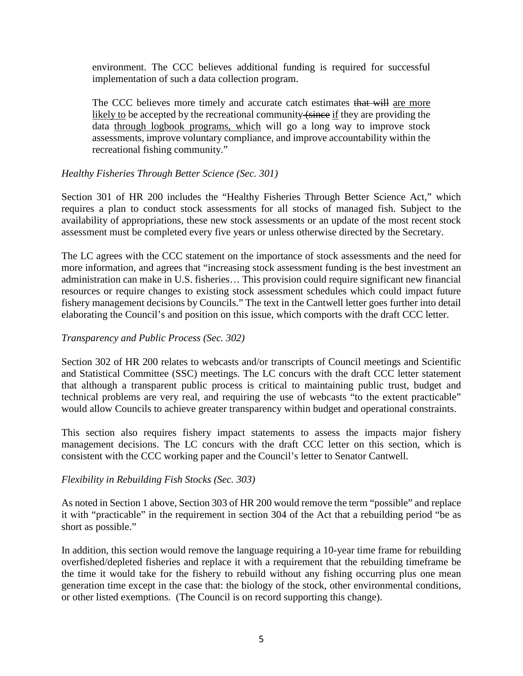environment. The CCC believes additional funding is required for successful implementation of such a data collection program.

The CCC believes more timely and accurate catch estimates that will are more likely to be accepted by the recreational community (since if they are providing the data through logbook programs, which will go a long way to improve stock assessments, improve voluntary compliance, and improve accountability within the recreational fishing community."

## *Healthy Fisheries Through Better Science (Sec. 301)*

Section 301 of HR 200 includes the "Healthy Fisheries Through Better Science Act," which requires a plan to conduct stock assessments for all stocks of managed fish. Subject to the availability of appropriations, these new stock assessments or an update of the most recent stock assessment must be completed every five years or unless otherwise directed by the Secretary.

The LC agrees with the CCC statement on the importance of stock assessments and the need for more information, and agrees that "increasing stock assessment funding is the best investment an administration can make in U.S. fisheries… This provision could require significant new financial resources or require changes to existing stock assessment schedules which could impact future fishery management decisions by Councils." The text in the Cantwell letter goes further into detail elaborating the Council's and position on this issue, which comports with the draft CCC letter.

### *Transparency and Public Process (Sec. 302)*

Section 302 of HR 200 relates to webcasts and/or transcripts of Council meetings and Scientific and Statistical Committee (SSC) meetings. The LC concurs with the draft CCC letter statement that although a transparent public process is critical to maintaining public trust, budget and technical problems are very real, and requiring the use of webcasts "to the extent practicable" would allow Councils to achieve greater transparency within budget and operational constraints.

This section also requires fishery impact statements to assess the impacts major fishery management decisions. The LC concurs with the draft CCC letter on this section, which is consistent with the CCC working paper and the Council's letter to Senator Cantwell.

### *Flexibility in Rebuilding Fish Stocks (Sec. 303)*

As noted in Section 1 above, Section 303 of HR 200 would remove the term "possible" and replace it with "practicable" in the requirement in section 304 of the Act that a rebuilding period "be as short as possible."

In addition, this section would remove the language requiring a 10-year time frame for rebuilding overfished/depleted fisheries and replace it with a requirement that the rebuilding timeframe be the time it would take for the fishery to rebuild without any fishing occurring plus one mean generation time except in the case that: the biology of the stock, other environmental conditions, or other listed exemptions. (The Council is on record supporting this change).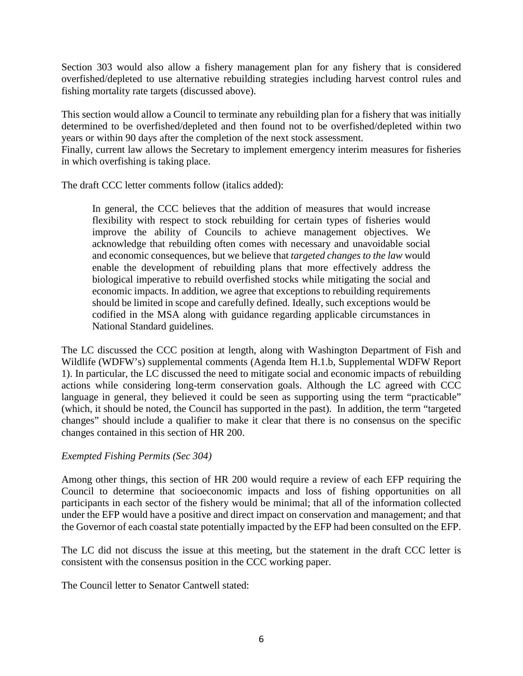Section 303 would also allow a fishery management plan for any fishery that is considered overfished/depleted to use alternative rebuilding strategies including harvest control rules and fishing mortality rate targets (discussed above).

This section would allow a Council to terminate any rebuilding plan for a fishery that was initially determined to be overfished/depleted and then found not to be overfished/depleted within two years or within 90 days after the completion of the next stock assessment.

Finally, current law allows the Secretary to implement emergency interim measures for fisheries in which overfishing is taking place.

The draft CCC letter comments follow (italics added):

In general, the CCC believes that the addition of measures that would increase flexibility with respect to stock rebuilding for certain types of fisheries would improve the ability of Councils to achieve management objectives. We acknowledge that rebuilding often comes with necessary and unavoidable social and economic consequences, but we believe that *targeted changes to the law* would enable the development of rebuilding plans that more effectively address the biological imperative to rebuild overfished stocks while mitigating the social and economic impacts. In addition, we agree that exceptions to rebuilding requirements should be limited in scope and carefully defined. Ideally, such exceptions would be codified in the MSA along with guidance regarding applicable circumstances in National Standard guidelines.

The LC discussed the CCC position at length, along with Washington Department of Fish and Wildlife (WDFW's) supplemental comments (Agenda Item H.1.b, Supplemental WDFW Report 1). In particular, the LC discussed the need to mitigate social and economic impacts of rebuilding actions while considering long-term conservation goals. Although the LC agreed with CCC language in general, they believed it could be seen as supporting using the term "practicable" (which, it should be noted, the Council has supported in the past). In addition, the term "targeted changes" should include a qualifier to make it clear that there is no consensus on the specific changes contained in this section of HR 200.

# *Exempted Fishing Permits (Sec 304)*

Among other things, this section of HR 200 would require a review of each EFP requiring the Council to determine that socioeconomic impacts and loss of fishing opportunities on all participants in each sector of the fishery would be minimal; that all of the information collected under the EFP would have a positive and direct impact on conservation and management; and that the Governor of each coastal state potentially impacted by the EFP had been consulted on the EFP.

The LC did not discuss the issue at this meeting, but the statement in the draft CCC letter is consistent with the consensus position in the CCC working paper.

The Council letter to Senator Cantwell stated: